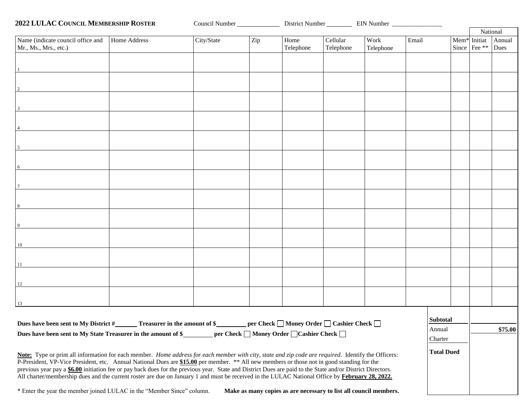| <b>2022 LULAC COUNCIL MEMBERSHIP ROSTER</b>                                                                                                                                                                                                                                                                                                                                                                                                                                                                                                                                                                         |            | Council Number |                   |                                                                   |                   |                   |  |                                    |                |  |
|---------------------------------------------------------------------------------------------------------------------------------------------------------------------------------------------------------------------------------------------------------------------------------------------------------------------------------------------------------------------------------------------------------------------------------------------------------------------------------------------------------------------------------------------------------------------------------------------------------------------|------------|----------------|-------------------|-------------------------------------------------------------------|-------------------|-------------------|--|------------------------------------|----------------|--|
|                                                                                                                                                                                                                                                                                                                                                                                                                                                                                                                                                                                                                     |            |                |                   |                                                                   |                   |                   |  |                                    | National       |  |
| Name (indicate council office and<br>Home Address<br>Mr., Ms., Mrs., etc.)                                                                                                                                                                                                                                                                                                                                                                                                                                                                                                                                          | City/State | Zip            | Home<br>Telephone | Cellular<br>Telephone                                             | Work<br>Telephone | Email             |  | $Mem*$ Initiat<br>Since   Fee $**$ | Annual<br>Dues |  |
|                                                                                                                                                                                                                                                                                                                                                                                                                                                                                                                                                                                                                     |            |                |                   |                                                                   |                   |                   |  |                                    |                |  |
| 2                                                                                                                                                                                                                                                                                                                                                                                                                                                                                                                                                                                                                   |            |                |                   |                                                                   |                   |                   |  |                                    |                |  |
|                                                                                                                                                                                                                                                                                                                                                                                                                                                                                                                                                                                                                     |            |                |                   |                                                                   |                   |                   |  |                                    |                |  |
| $\mathbf{3}$                                                                                                                                                                                                                                                                                                                                                                                                                                                                                                                                                                                                        |            |                |                   |                                                                   |                   |                   |  |                                    |                |  |
| $\overline{4}$                                                                                                                                                                                                                                                                                                                                                                                                                                                                                                                                                                                                      |            |                |                   |                                                                   |                   |                   |  |                                    |                |  |
| $5\overline{5}$                                                                                                                                                                                                                                                                                                                                                                                                                                                                                                                                                                                                     |            |                |                   |                                                                   |                   |                   |  |                                    |                |  |
| 6                                                                                                                                                                                                                                                                                                                                                                                                                                                                                                                                                                                                                   |            |                |                   |                                                                   |                   |                   |  |                                    |                |  |
|                                                                                                                                                                                                                                                                                                                                                                                                                                                                                                                                                                                                                     |            |                |                   |                                                                   |                   |                   |  |                                    |                |  |
| 8                                                                                                                                                                                                                                                                                                                                                                                                                                                                                                                                                                                                                   |            |                |                   |                                                                   |                   |                   |  |                                    |                |  |
| 9                                                                                                                                                                                                                                                                                                                                                                                                                                                                                                                                                                                                                   |            |                |                   |                                                                   |                   |                   |  |                                    |                |  |
|                                                                                                                                                                                                                                                                                                                                                                                                                                                                                                                                                                                                                     |            |                |                   |                                                                   |                   |                   |  |                                    |                |  |
| 10                                                                                                                                                                                                                                                                                                                                                                                                                                                                                                                                                                                                                  |            |                |                   |                                                                   |                   |                   |  |                                    |                |  |
| 11                                                                                                                                                                                                                                                                                                                                                                                                                                                                                                                                                                                                                  |            |                |                   |                                                                   |                   |                   |  |                                    |                |  |
| 12                                                                                                                                                                                                                                                                                                                                                                                                                                                                                                                                                                                                                  |            |                |                   |                                                                   |                   |                   |  |                                    |                |  |
| 13                                                                                                                                                                                                                                                                                                                                                                                                                                                                                                                                                                                                                  |            |                |                   |                                                                   |                   |                   |  |                                    |                |  |
| Dues have been sent to My District #________ Treasurer in the amount of \$_________ per Check $\Box$ Money Order $\Box$ Cashier Check $\Box$<br>Dues have been sent to My State Treasurer in the amount of \$_________ per Check □ Money Order □ Cashier Check □                                                                                                                                                                                                                                                                                                                                                    |            |                |                   |                                                                   |                   | <b>Subtotal</b>   |  |                                    |                |  |
|                                                                                                                                                                                                                                                                                                                                                                                                                                                                                                                                                                                                                     |            |                |                   |                                                                   |                   | Annual<br>Charter |  |                                    | \$75.00        |  |
| Note: Type or print all information for each member. Home address for each member with city, state and zip code are required. Identify the Officers:<br>P-President, VP-Vice President, etc. Annual National Dues are \$15.00 per member. ** All new members or those not in good standing for the<br>previous year pay a \$6.00 initiation fee or pay back dues for the previous year. State and District Dues are paid to the State and/or District Directors.<br>All charter/membership dues and the current roster are due on January 1 and must be received in the LULAC National Office by February 28, 2022. |            |                |                   |                                                                   |                   | <b>Total Dued</b> |  |                                    |                |  |
| * Enter the year the member joined LULAC in the "Member Since" column.                                                                                                                                                                                                                                                                                                                                                                                                                                                                                                                                              |            |                |                   | Make as many copies as are necessary to list all council members. |                   |                   |  |                                    |                |  |